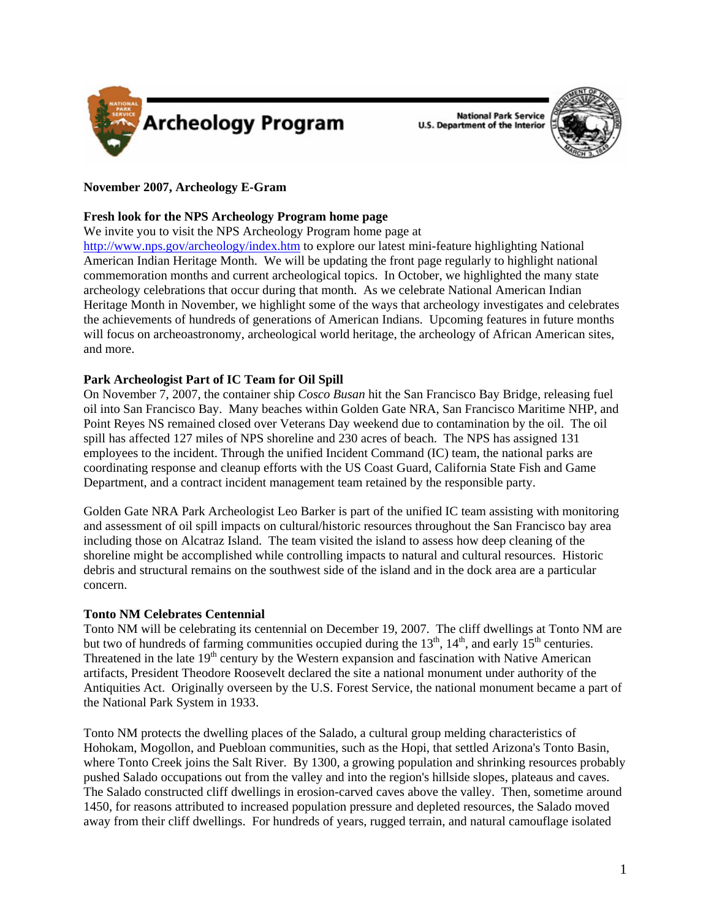

**National Park Service U.S. Department of the Interior** 



## **November 2007, Archeology E-Gram**

## **Fresh look for the NPS Archeology Program home page**

We invite you to visit the NPS Archeology Program home page at

<http://www.nps.gov/archeology/index.htm>to explore our latest mini-feature highlighting National American Indian Heritage Month. We will be updating the front page regularly to highlight national commemoration months and current archeological topics. In October, we highlighted the many state archeology celebrations that occur during that month. As we celebrate National American Indian Heritage Month in November, we highlight some of the ways that archeology investigates and celebrates the achievements of hundreds of generations of American Indians. Upcoming features in future months will focus on archeoastronomy, archeological world heritage, the archeology of African American sites, and more.

## **Park Archeologist Part of IC Team for Oil Spill**

On November 7, 2007, the container ship *Cosco Busan* hit the San Francisco Bay Bridge, releasing fuel oil into San Francisco Bay. Many beaches within Golden Gate NRA, San Francisco Maritime NHP, and Point Reyes NS remained closed over Veterans Day weekend due to contamination by the oil. The oil spill has affected 127 miles of NPS shoreline and 230 acres of beach. The NPS has assigned 131 employees to the incident. Through the unified Incident Command (IC) team, the national parks are coordinating response and cleanup efforts with the US Coast Guard, California State Fish and Game Department, and a contract incident management team retained by the responsible party.

Golden Gate NRA Park Archeologist Leo Barker is part of the unified IC team assisting with monitoring and assessment of oil spill impacts on cultural/historic resources throughout the San Francisco bay area including those on Alcatraz Island. The team visited the island to assess how deep cleaning of the shoreline might be accomplished while controlling impacts to natural and cultural resources. Historic debris and structural remains on the southwest side of the island and in the dock area are a particular concern.

## **Tonto NM Celebrates Centennial**

Tonto NM will be celebrating its centennial on December 19, 2007. The cliff dwellings at Tonto NM are but two of hundreds of farming communities occupied during the  $13<sup>th</sup>$ ,  $14<sup>th</sup>$ , and early  $15<sup>th</sup>$  centuries. Threatened in the late  $19<sup>th</sup>$  century by the Western expansion and fascination with Native American artifacts, President Theodore Roosevelt declared the site a national monument under authority of the Antiquities Act. Originally overseen by the U.S. Forest Service, the national monument became a part of the National Park System in 1933.

Tonto NM protects the dwelling places of the Salado, a cultural group melding characteristics of Hohokam, Mogollon, and Puebloan communities, such as the Hopi, that settled Arizona's Tonto Basin, where Tonto Creek joins the Salt River. By 1300, a growing population and shrinking resources probably pushed Salado occupations out from the valley and into the region's hillside slopes, plateaus and caves. The Salado constructed cliff dwellings in erosion-carved caves above the valley. Then, sometime around 1450, for reasons attributed to increased population pressure and depleted resources, the Salado moved away from their cliff dwellings. For hundreds of years, rugged terrain, and natural camouflage isolated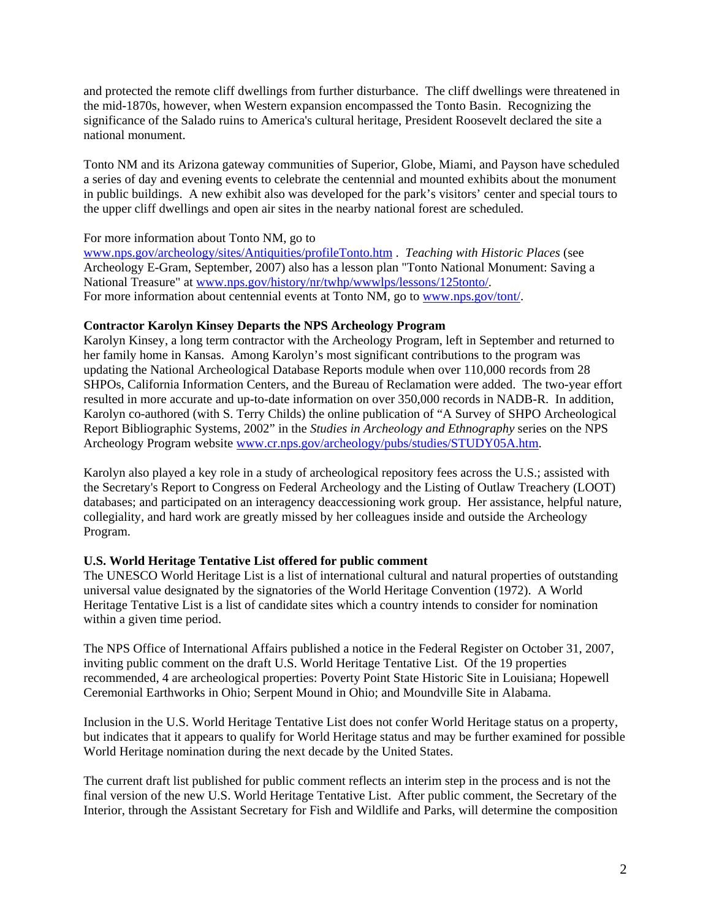and protected the remote cliff dwellings from further disturbance. The cliff dwellings were threatened in the mid-1870s, however, when Western expansion encompassed the Tonto Basin. Recognizing the significance of the Salado ruins to America's cultural heritage, President Roosevelt declared the site a national monument.

Tonto NM and its Arizona gateway communities of Superior, Globe, Miami, and Payson have scheduled a series of day and evening events to celebrate the centennial and mounted exhibits about the monument in public buildings. A new exhibit also was developed for the park's visitors' center and special tours to the upper cliff dwellings and open air sites in the nearby national forest are scheduled.

For more information about Tonto NM, go to

[www.nps.gov/archeology/sites/Antiquities/profileTonto.htm](http://www.nps.gov/archeology/index.htm) . *Teaching with Historic Places* (see Archeology E-Gram, September, 2007) also has a lesson plan "Tonto National Monument: Saving a National Treasure" at [www.nps.gov/history/nr/twhp/wwwlps/lessons/125tonto/.](www.nps.gov/history/nr/twhp/wwwlps/lessons/125tonto/) For more information about centennial events at Tonto NM, go to<www.nps.gov/tont/>.

## **Contractor Karolyn Kinsey Departs the NPS Archeology Program**

Karolyn Kinsey, a long term contractor with the Archeology Program, left in September and returned to her family home in Kansas. Among Karolyn's most significant contributions to the program was updating the National Archeological Database Reports module when over 110,000 records from 28 SHPOs, California Information Centers, and the Bureau of Reclamation were added. The two-year effort resulted in more accurate and up-to-date information on over 350,000 records in NADB-R. In addition, Karolyn co-authored (with S. Terry Childs) the online publication of "A Survey of SHPO Archeological Report Bibliographic Systems, 2002" in the *Studies in Archeology and Ethnography* series on the NPS Archeology Program website [www.cr.nps.gov/archeology/pubs/studies/STUDY05A.htm.](www.cr.nps.gov/archeology/pubs/studies/STUDY05A.htm)

Karolyn also played a key role in a study of archeological repository fees across the U.S.; assisted with the Secretary's Report to Congress on Federal Archeology and the Listing of Outlaw Treachery (LOOT) databases; and participated on an interagency deaccessioning work group. Her assistance, helpful nature, collegiality, and hard work are greatly missed by her colleagues inside and outside the Archeology Program.

## **U.S. World Heritage Tentative List offered for public comment**

The UNESCO World Heritage List is a list of international cultural and natural properties of outstanding universal value designated by the signatories of the World Heritage Convention (1972). A World Heritage Tentative List is a list of candidate sites which a country intends to consider for nomination within a given time period.

The NPS Office of International Affairs published a notice in the Federal Register on October 31, 2007, inviting public comment on the draft U.S. World Heritage Tentative List. Of the 19 properties recommended, 4 are archeological properties: Poverty Point State Historic Site in Louisiana; Hopewell Ceremonial Earthworks in Ohio; Serpent Mound in Ohio; and Moundville Site in Alabama.

Inclusion in the U.S. World Heritage Tentative List does not confer World Heritage status on a property, but indicates that it appears to qualify for World Heritage status and may be further examined for possible World Heritage nomination during the next decade by the United States.

The current draft list published for public comment reflects an interim step in the process and is not the final version of the new U.S. World Heritage Tentative List. After public comment, the Secretary of the Interior, through the Assistant Secretary for Fish and Wildlife and Parks, will determine the composition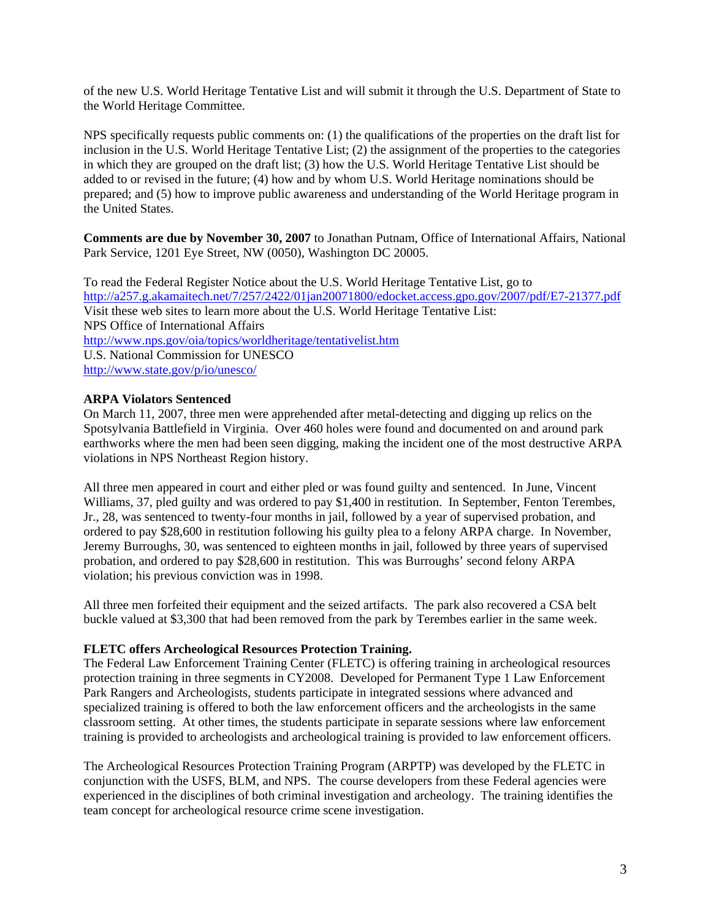of the new U.S. World Heritage Tentative List and will submit it through the U.S. Department of State to the World Heritage Committee.

NPS specifically requests public comments on: (1) the qualifications of the properties on the draft list for inclusion in the U.S. World Heritage Tentative List; (2) the assignment of the properties to the categories in which they are grouped on the draft list; (3) how the U.S. World Heritage Tentative List should be added to or revised in the future; (4) how and by whom U.S. World Heritage nominations should be prepared; and (5) how to improve public awareness and understanding of the World Heritage program in the United States.

**Comments are due by November 30, 2007** to Jonathan Putnam, Office of International Affairs, National Park Service, 1201 Eye Street, NW (0050), Washington DC 20005.

To read the Federal Register Notice about the U.S. World Heritage Tentative List, go to <http://a257.g.akamaitech.net/7/257/2422/01jan20071800/edocket.access.gpo.gov/2007/pdf/E7-21377.pdf> Visit these web sites to learn more about the U.S. World Heritage Tentative List: NPS Office of International Affairs <http://www.nps.gov/oia/topics/worldheritage/tentativelist.htm> U.S. National Commission for UNESCO <http://www.state.gov/p/io/unesco/>

## **ARPA Violators Sentenced**

On March 11, 2007, three men were apprehended after metal-detecting and digging up relics on the Spotsylvania Battlefield in Virginia. Over 460 holes were found and documented on and around park earthworks where the men had been seen digging, making the incident one of the most destructive ARPA violations in NPS Northeast Region history.

All three men appeared in court and either pled or was found guilty and sentenced. In June, Vincent Williams, 37, pled guilty and was ordered to pay \$1,400 in restitution. In September, Fenton Terembes, Jr., 28, was sentenced to twenty-four months in jail, followed by a year of supervised probation, and ordered to pay \$28,600 in restitution following his guilty plea to a felony ARPA charge. In November, Jeremy Burroughs, 30, was sentenced to eighteen months in jail, followed by three years of supervised probation, and ordered to pay \$28,600 in restitution. This was Burroughs' second felony ARPA violation; his previous conviction was in 1998.

All three men forfeited their equipment and the seized artifacts. The park also recovered a CSA belt buckle valued at \$3,300 that had been removed from the park by Terembes earlier in the same week.

#### **FLETC offers Archeological Resources Protection Training.**

The Federal Law Enforcement Training Center (FLETC) is offering training in archeological resources protection training in three segments in CY2008.Developed for Permanent Type 1 Law Enforcement Park Rangers and Archeologists, students participate in integrated sessions where advanced and specialized training is offered to both the law enforcement officers and the archeologists in the same classroom setting. At other times, the students participate in separate sessions where law enforcement training is provided to archeologists and archeological training is provided to law enforcement officers.

The Archeological Resources Protection Training Program (ARPTP) was developed by the FLETC in conjunction with the USFS, BLM, and NPS. The course developers from these Federal agencies were experienced in the disciplines of both criminal investigation and archeology. The training identifies the team concept for archeological resource crime scene investigation.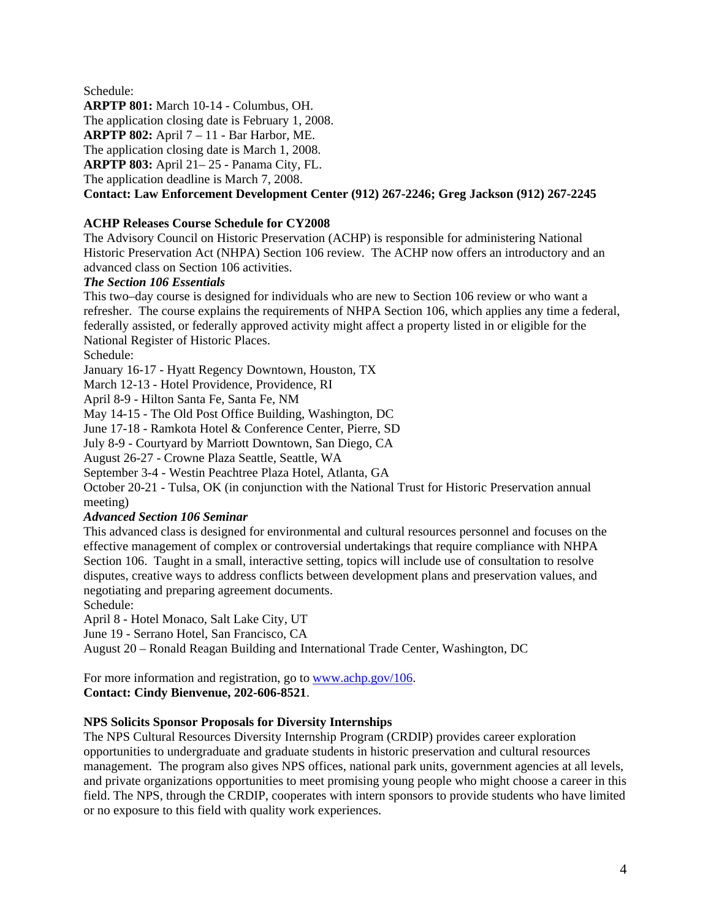Schedule: **ARPTP 801:** March 10-14 - Columbus, OH. The application closing date is February 1, 2008. **ARPTP 802:** April 7 – 11 - Bar Harbor, ME. The application closing date is March 1, 2008. **ARPTP 803:** April 21– 25 - Panama City, FL. The application deadline is March 7, 2008. **Contact: Law Enforcement Development Center (912) 267-2246; Greg Jackson (912) 267-2245** 

# **ACHP Releases Course Schedule for CY2008**

The Advisory Council on Historic Preservation (ACHP) is responsible for administering National Historic Preservation Act (NHPA) Section 106 review. The ACHP now offers an introductory and an advanced class on Section 106 activities.

## *The Section 106 Essentials*

This two–day course is designed for individuals who are new to Section 106 review or who want a refresher. The course explains the requirements of NHPA Section 106, which applies any time a federal, federally assisted, or federally approved activity might affect a property listed in or eligible for the National Register of Historic Places.

Schedule:

January 16-17 - Hyatt Regency Downtown, Houston, TX

March 12-13 - Hotel Providence, Providence, RI

April 8-9 - Hilton Santa Fe, Santa Fe, NM

May 14-15 - The Old Post Office Building, Washington, DC

June 17-18 - Ramkota Hotel & Conference Center, Pierre, SD

July 8-9 - Courtyard by Marriott Downtown, San Diego, CA

August 26-27 - Crowne Plaza Seattle, Seattle, WA

September 3-4 - Westin Peachtree Plaza Hotel, Atlanta, GA

October 20-21 - Tulsa, OK (in conjunction with the National Trust for Historic Preservation annual meeting)

## *Advanced Section 106 Seminar*

This advanced class is designed for environmental and cultural resources personnel and focuses on the effective management of complex or controversial undertakings that require compliance with NHPA Section 106. Taught in a small, interactive setting, topics will include use of consultation to resolve disputes, creative ways to address conflicts between development plans and preservation values, and negotiating and preparing agreement documents.

Schedule:

April 8 - Hotel Monaco, Salt Lake City, UT

June 19 - Serrano Hotel, San Francisco, CA

August 20 – Ronald Reagan Building and International Trade Center, Washington, DC

For more information and registration, go to<www.achp.gov/106>. **Contact: Cindy Bienvenue, 202-606-8521**.

## **NPS Solicits Sponsor Proposals for Diversity Internships**

The NPS Cultural Resources Diversity Internship Program (CRDIP) provides career exploration opportunities to undergraduate and graduate students in historic preservation and cultural resources management. The program also gives NPS offices, national park units, government agencies at all levels, and private organizations opportunities to meet promising young people who might choose a career in this field. The NPS, through the CRDIP, cooperates with intern sponsors to provide students who have limited or no exposure to this field with quality work experiences.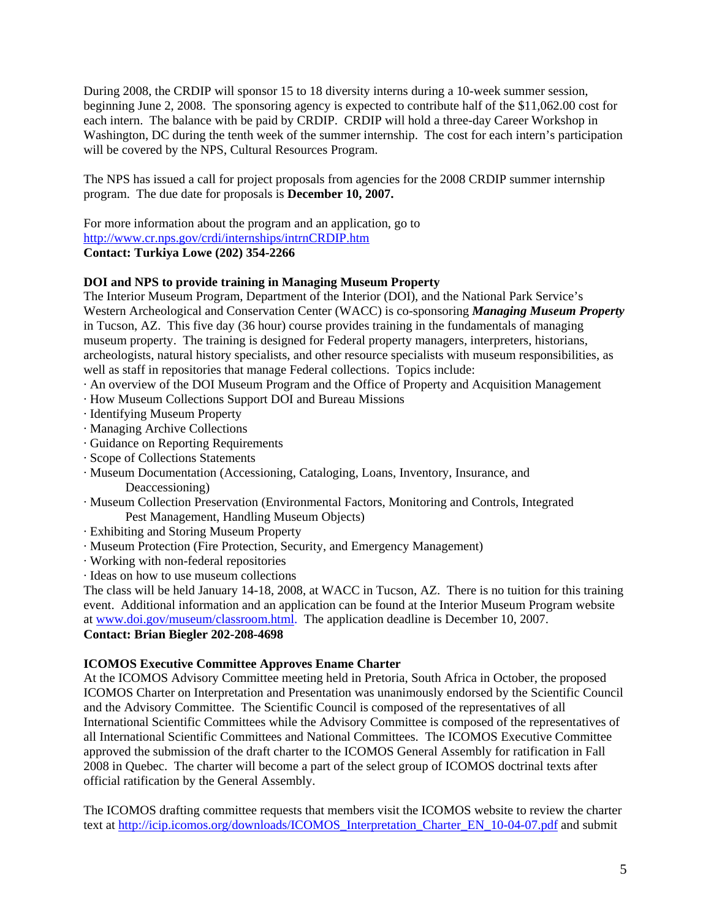During 2008, the CRDIP will sponsor 15 to 18 diversity interns during a 10-week summer session, beginning June 2, 2008. The sponsoring agency is expected to contribute half of the \$11,062.00 cost for each intern. The balance with be paid by CRDIP. CRDIP will hold a three-day Career Workshop in Washington, DC during the tenth week of the summer internship. The cost for each intern's participation will be covered by the NPS, Cultural Resources Program.

The NPS has issued a call for project proposals from agencies for the 2008 CRDIP summer internship program. The due date for proposals is **December 10, 2007.** 

For more information about the program and an application, go to <http://www.cr.nps.gov/crdi/internships/intrnCRDIP.htm> **Contact: Turkiya Lowe (202) 354-2266** 

## **DOI and NPS to provide training in Managing Museum Property**

The Interior Museum Program, Department of the Interior (DOI), and the National Park Service's Western Archeological and Conservation Center (WACC) is co-sponsoring *Managing Museum Property* in Tucson, AZ. This five day (36 hour) course provides training in the fundamentals of managing museum property. The training is designed for Federal property managers, interpreters, historians, archeologists, natural history specialists, and other resource specialists with museum responsibilities, as well as staff in repositories that manage Federal collections. Topics include:

- · An overview of the DOI Museum Program and the Office of Property and Acquisition Management
- · How Museum Collections Support DOI and Bureau Missions
- · Identifying Museum Property
- · Managing Archive Collections
- · Guidance on Reporting Requirements
- · Scope of Collections Statements
- · Museum Documentation (Accessioning, Cataloging, Loans, Inventory, Insurance, and Deaccessioning)
- · Museum Collection Preservation (Environmental Factors, Monitoring and Controls, Integrated Pest Management, Handling Museum Objects)
- · Exhibiting and Storing Museum Property
- · Museum Protection (Fire Protection, Security, and Emergency Management)
- · Working with non-federal repositories
- · Ideas on how to use museum collections

The class will be held January 14-18, 2008, at WACC in Tucson, AZ. There is no tuition for this training event. Additional information and an application can be found at the Interior Museum Program website at [www.doi.gov/museum/classroom.html.](www.doi.gov/museum/classroom.html) The application deadline is December 10, 2007. **Contact: Brian Biegler 202-208-4698**

## **ICOMOS Executive Committee Approves Ename Charter**

At the ICOMOS Advisory Committee meeting held in Pretoria, South Africa in October, the proposed ICOMOS Charter on Interpretation and Presentation was unanimously endorsed by the Scientific Council and the Advisory Committee. The Scientific Council is composed of the representatives of all International Scientific Committees while the Advisory Committee is composed of the representatives of all International Scientific Committees and National Committees. The ICOMOS Executive Committee approved the submission of the draft charter to the ICOMOS General Assembly for ratification in Fall 2008 in Quebec. The charter will become a part of the select group of ICOMOS doctrinal texts after official ratification by the General Assembly.

The ICOMOS drafting committee requests that members visit the ICOMOS website to review the charter text at [http://icip.icomos.org/downloads/ICOMOS\\_Interpretation\\_Charter\\_EN\\_10-04-07.pdf](http://icip.icomos.org/downloads/ICOMOS_Interpretation_Charter_EN_10-04-07.pdf) and submit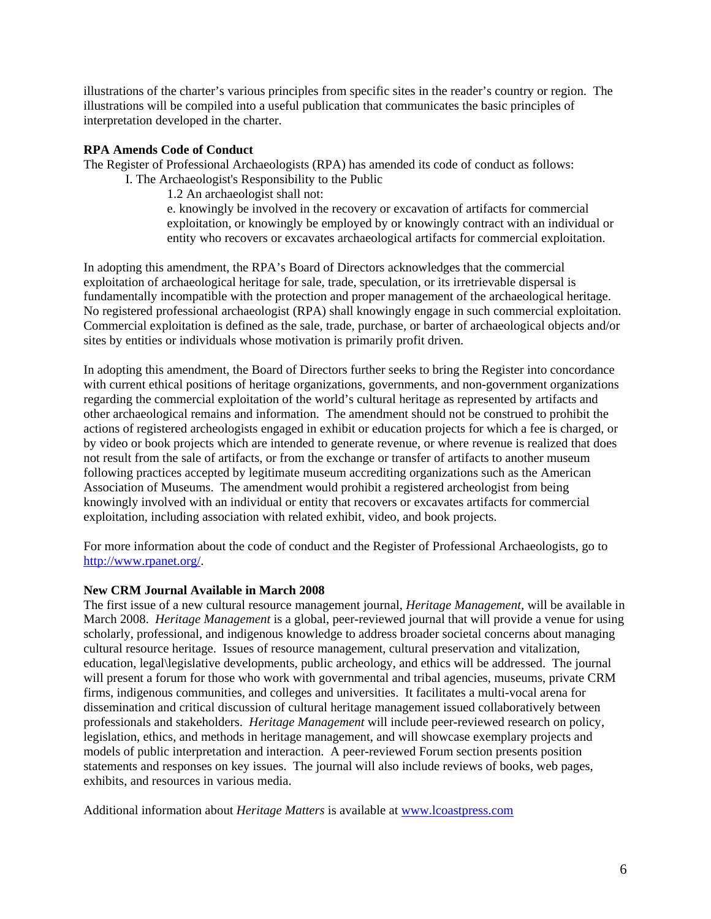illustrations of the charter's various principles from specific sites in the reader's country or region. The illustrations will be compiled into a useful publication that communicates the basic principles of interpretation developed in the charter.

## **RPA Amends Code of Conduct**

The Register of Professional Archaeologists (RPA) has amended its code of conduct as follows:

I. The Archaeologist's Responsibility to the Public

1.2 An archaeologist shall not:

e. knowingly be involved in the recovery or excavation of artifacts for commercial exploitation, or knowingly be employed by or knowingly contract with an individual or entity who recovers or excavates archaeological artifacts for commercial exploitation.

In adopting this amendment, the RPA's Board of Directors acknowledges that the commercial exploitation of archaeological heritage for sale, trade, speculation, or its irretrievable dispersal is fundamentally incompatible with the protection and proper management of the archaeological heritage. No registered professional archaeologist (RPA) shall knowingly engage in such commercial exploitation. Commercial exploitation is defined as the sale, trade, purchase, or barter of archaeological objects and/or sites by entities or individuals whose motivation is primarily profit driven.

In adopting this amendment, the Board of Directors further seeks to bring the Register into concordance with current ethical positions of heritage organizations, governments, and non-government organizations regarding the commercial exploitation of the world's cultural heritage as represented by artifacts and other archaeological remains and information. The amendment should not be construed to prohibit the actions of registered archeologists engaged in exhibit or education projects for which a fee is charged, or by video or book projects which are intended to generate revenue, or where revenue is realized that does not result from the sale of artifacts, or from the exchange or transfer of artifacts to another museum following practices accepted by legitimate museum accrediting organizations such as the American Association of Museums. The amendment would prohibit a registered archeologist from being knowingly involved with an individual or entity that recovers or excavates artifacts for commercial exploitation, including association with related exhibit, video, and book projects.

For more information about the code of conduct and the Register of Professional Archaeologists, go to [http://www.rpanet.org/.](http://www.rpanet.org/)

## **New CRM Journal Available in March 2008**

The first issue of a new cultural resource management journal, *Heritage Management,* will be available in March 2008. *Heritage Management* is a global, peer-reviewed journal that will provide a venue for using scholarly, professional, and indigenous knowledge to address broader societal concerns about managing cultural resource heritage. Issues of resource management, cultural preservation and vitalization, education, legal\legislative developments, public archeology, and ethics will be addressed. The journal will present a forum for those who work with governmental and tribal agencies, museums, private CRM firms, indigenous communities, and colleges and universities. It facilitates a multi-vocal arena for dissemination and critical discussion of cultural heritage management issued collaboratively between professionals and stakeholders. *Heritage Management* will include peer-reviewed research on policy, legislation, ethics, and methods in heritage management, and will showcase exemplary projects and models of public interpretation and interaction. A peer-reviewed Forum section presents position statements and responses on key issues. The journal will also include reviews of books, web pages, exhibits, and resources in various media.

Additional information about *Heritage Matters* is available at <www.lcoastpress.com>